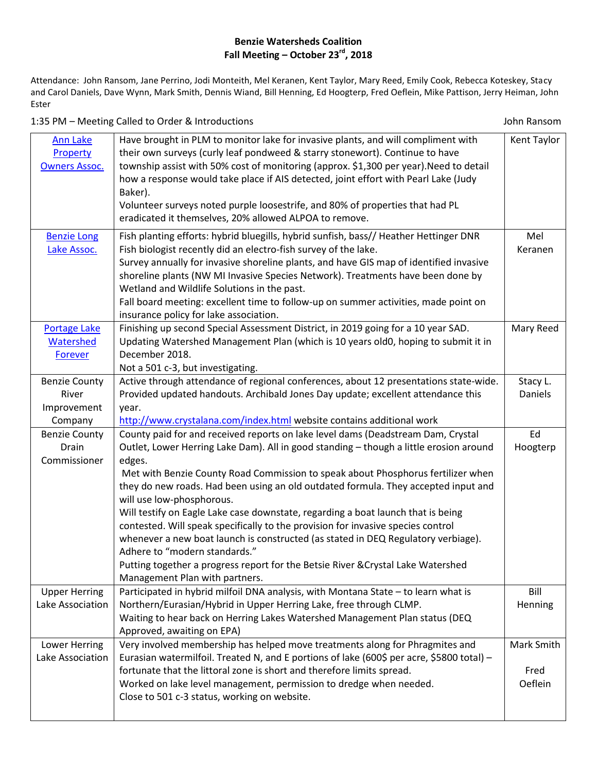## **Benzie Watersheds Coalition Fall Meeting – October 23rd, 2018**

Attendance: John Ransom, Jane Perrino, Jodi Monteith, Mel Keranen, Kent Taylor, Mary Reed, Emily Cook, Rebecca Koteskey, Stacy and Carol Daniels, Dave Wynn, Mark Smith, Dennis Wiand, Bill Henning, Ed Hoogterp, Fred Oeflein, Mike Pattison, Jerry Heiman, John Ester

1:35 PM – Meeting Called to Order & Introductions John Ransom

| <b>Ann Lake</b><br>Property<br><b>Owners Assoc.</b> | Have brought in PLM to monitor lake for invasive plants, and will compliment with<br>their own surveys (curly leaf pondweed & starry stonewort). Continue to have<br>township assist with 50% cost of monitoring (approx. \$1,300 per year). Need to detail<br>how a response would take place if AIS detected, joint effort with Pearl Lake (Judy<br>Baker).<br>Volunteer surveys noted purple loosestrife, and 80% of properties that had PL<br>eradicated it themselves, 20% allowed ALPOA to remove. | Kent Taylor |
|-----------------------------------------------------|----------------------------------------------------------------------------------------------------------------------------------------------------------------------------------------------------------------------------------------------------------------------------------------------------------------------------------------------------------------------------------------------------------------------------------------------------------------------------------------------------------|-------------|
| <b>Benzie Long</b>                                  | Fish planting efforts: hybrid bluegills, hybrid sunfish, bass// Heather Hettinger DNR                                                                                                                                                                                                                                                                                                                                                                                                                    | Mel         |
| Lake Assoc.                                         | Fish biologist recently did an electro-fish survey of the lake.                                                                                                                                                                                                                                                                                                                                                                                                                                          | Keranen     |
|                                                     | Survey annually for invasive shoreline plants, and have GIS map of identified invasive                                                                                                                                                                                                                                                                                                                                                                                                                   |             |
|                                                     | shoreline plants (NW MI Invasive Species Network). Treatments have been done by                                                                                                                                                                                                                                                                                                                                                                                                                          |             |
|                                                     | Wetland and Wildlife Solutions in the past.                                                                                                                                                                                                                                                                                                                                                                                                                                                              |             |
|                                                     | Fall board meeting: excellent time to follow-up on summer activities, made point on                                                                                                                                                                                                                                                                                                                                                                                                                      |             |
|                                                     |                                                                                                                                                                                                                                                                                                                                                                                                                                                                                                          |             |
|                                                     | insurance policy for lake association.                                                                                                                                                                                                                                                                                                                                                                                                                                                                   |             |
| <b>Portage Lake</b>                                 | Finishing up second Special Assessment District, in 2019 going for a 10 year SAD.                                                                                                                                                                                                                                                                                                                                                                                                                        | Mary Reed   |
| Watershed                                           | Updating Watershed Management Plan (which is 10 years old0, hoping to submit it in                                                                                                                                                                                                                                                                                                                                                                                                                       |             |
| <b>Forever</b>                                      | December 2018.                                                                                                                                                                                                                                                                                                                                                                                                                                                                                           |             |
|                                                     | Not a 501 c-3, but investigating.                                                                                                                                                                                                                                                                                                                                                                                                                                                                        |             |
| <b>Benzie County</b>                                | Active through attendance of regional conferences, about 12 presentations state-wide.                                                                                                                                                                                                                                                                                                                                                                                                                    | Stacy L.    |
| River                                               | Provided updated handouts. Archibald Jones Day update; excellent attendance this                                                                                                                                                                                                                                                                                                                                                                                                                         | Daniels     |
| Improvement                                         | year.                                                                                                                                                                                                                                                                                                                                                                                                                                                                                                    |             |
| Company                                             | http://www.crystalana.com/index.html website contains additional work                                                                                                                                                                                                                                                                                                                                                                                                                                    |             |
| <b>Benzie County</b>                                | County paid for and received reports on lake level dams (Deadstream Dam, Crystal                                                                                                                                                                                                                                                                                                                                                                                                                         | Ed          |
| Drain                                               | Outlet, Lower Herring Lake Dam). All in good standing - though a little erosion around                                                                                                                                                                                                                                                                                                                                                                                                                   | Hoogterp    |
| Commissioner                                        | edges.                                                                                                                                                                                                                                                                                                                                                                                                                                                                                                   |             |
|                                                     | Met with Benzie County Road Commission to speak about Phosphorus fertilizer when                                                                                                                                                                                                                                                                                                                                                                                                                         |             |
|                                                     | they do new roads. Had been using an old outdated formula. They accepted input and                                                                                                                                                                                                                                                                                                                                                                                                                       |             |
|                                                     | will use low-phosphorous.                                                                                                                                                                                                                                                                                                                                                                                                                                                                                |             |
|                                                     | Will testify on Eagle Lake case downstate, regarding a boat launch that is being                                                                                                                                                                                                                                                                                                                                                                                                                         |             |
|                                                     | contested. Will speak specifically to the provision for invasive species control                                                                                                                                                                                                                                                                                                                                                                                                                         |             |
|                                                     | whenever a new boat launch is constructed (as stated in DEQ Regulatory verbiage).                                                                                                                                                                                                                                                                                                                                                                                                                        |             |
|                                                     | Adhere to "modern standards."                                                                                                                                                                                                                                                                                                                                                                                                                                                                            |             |
|                                                     | Putting together a progress report for the Betsie River & Crystal Lake Watershed                                                                                                                                                                                                                                                                                                                                                                                                                         |             |
|                                                     | Management Plan with partners.                                                                                                                                                                                                                                                                                                                                                                                                                                                                           |             |
| <b>Upper Herring</b>                                | Participated in hybrid milfoil DNA analysis, with Montana State - to learn what is                                                                                                                                                                                                                                                                                                                                                                                                                       | Bill        |
| Lake Association                                    | Northern/Eurasian/Hybrid in Upper Herring Lake, free through CLMP.                                                                                                                                                                                                                                                                                                                                                                                                                                       | Henning     |
|                                                     | Waiting to hear back on Herring Lakes Watershed Management Plan status (DEQ                                                                                                                                                                                                                                                                                                                                                                                                                              |             |
|                                                     | Approved, awaiting on EPA)                                                                                                                                                                                                                                                                                                                                                                                                                                                                               |             |
| Lower Herring                                       | Very involved membership has helped move treatments along for Phragmites and                                                                                                                                                                                                                                                                                                                                                                                                                             | Mark Smith  |
| Lake Association                                    | Eurasian watermilfoil. Treated N, and E portions of lake (600\$ per acre, \$5800 total) -                                                                                                                                                                                                                                                                                                                                                                                                                |             |
|                                                     | fortunate that the littoral zone is short and therefore limits spread.                                                                                                                                                                                                                                                                                                                                                                                                                                   | Fred        |
|                                                     | Worked on lake level management, permission to dredge when needed.                                                                                                                                                                                                                                                                                                                                                                                                                                       | Oeflein     |
|                                                     | Close to 501 c-3 status, working on website.                                                                                                                                                                                                                                                                                                                                                                                                                                                             |             |
|                                                     |                                                                                                                                                                                                                                                                                                                                                                                                                                                                                                          |             |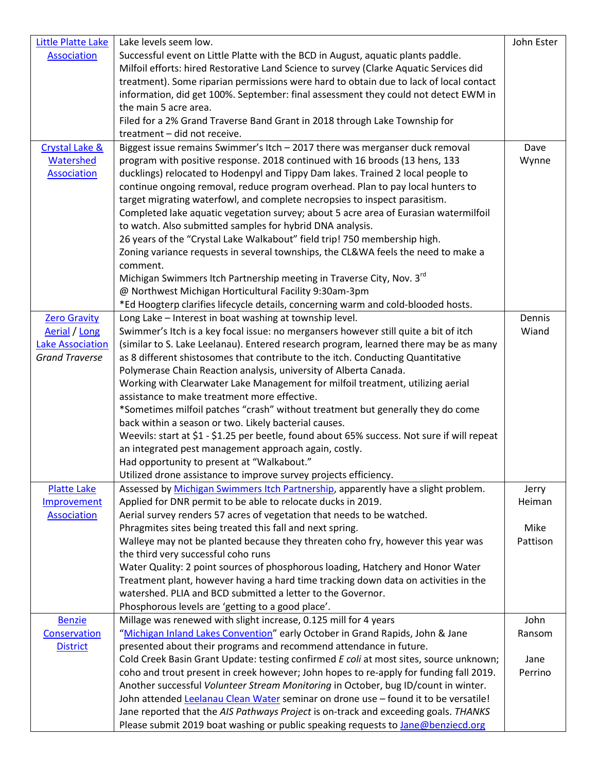| <b>Little Platte Lake</b> | Lake levels seem low.                                                                                                           | John Ester |
|---------------------------|---------------------------------------------------------------------------------------------------------------------------------|------------|
| <b>Association</b>        | Successful event on Little Platte with the BCD in August, aquatic plants paddle.                                                |            |
|                           | Milfoil efforts: hired Restorative Land Science to survey (Clarke Aquatic Services did                                          |            |
|                           | treatment). Some riparian permissions were hard to obtain due to lack of local contact                                          |            |
|                           | information, did get 100%. September: final assessment they could not detect EWM in                                             |            |
|                           | the main 5 acre area.                                                                                                           |            |
|                           | Filed for a 2% Grand Traverse Band Grant in 2018 through Lake Township for                                                      |            |
|                           | treatment - did not receive.                                                                                                    |            |
| Crystal Lake &            | Biggest issue remains Swimmer's Itch - 2017 there was merganser duck removal                                                    | Dave       |
| Watershed                 | program with positive response. 2018 continued with 16 broods (13 hens, 133                                                     | Wynne      |
| <b>Association</b>        | ducklings) relocated to Hodenpyl and Tippy Dam lakes. Trained 2 local people to                                                 |            |
|                           | continue ongoing removal, reduce program overhead. Plan to pay local hunters to                                                 |            |
|                           | target migrating waterfowl, and complete necropsies to inspect parasitism.                                                      |            |
|                           | Completed lake aquatic vegetation survey; about 5 acre area of Eurasian watermilfoil                                            |            |
|                           | to watch. Also submitted samples for hybrid DNA analysis.                                                                       |            |
|                           | 26 years of the "Crystal Lake Walkabout" field trip! 750 membership high.                                                       |            |
|                           | Zoning variance requests in several townships, the CL&WA feels the need to make a                                               |            |
|                           | comment.                                                                                                                        |            |
|                           | Michigan Swimmers Itch Partnership meeting in Traverse City, Nov. 3rd<br>@ Northwest Michigan Horticultural Facility 9:30am-3pm |            |
|                           | *Ed Hoogterp clarifies lifecycle details, concerning warm and cold-blooded hosts.                                               |            |
| <b>Zero Gravity</b>       | Long Lake - Interest in boat washing at township level.                                                                         | Dennis     |
| Aerial / Long             | Swimmer's Itch is a key focal issue: no mergansers however still quite a bit of itch                                            | Wiand      |
| <b>Lake Association</b>   | (similar to S. Lake Leelanau). Entered research program, learned there may be as many                                           |            |
| <b>Grand Traverse</b>     | as 8 different shistosomes that contribute to the itch. Conducting Quantitative                                                 |            |
|                           | Polymerase Chain Reaction analysis, university of Alberta Canada.                                                               |            |
|                           | Working with Clearwater Lake Management for milfoil treatment, utilizing aerial                                                 |            |
|                           | assistance to make treatment more effective.                                                                                    |            |
|                           | *Sometimes milfoil patches "crash" without treatment but generally they do come                                                 |            |
|                           | back within a season or two. Likely bacterial causes.                                                                           |            |
|                           | Weevils: start at \$1 - \$1.25 per beetle, found about 65% success. Not sure if will repeat                                     |            |
|                           | an integrated pest management approach again, costly.                                                                           |            |
|                           | Had opportunity to present at "Walkabout."                                                                                      |            |
|                           | Utilized drone assistance to improve survey projects efficiency.                                                                |            |
| <b>Platte Lake</b>        | Assessed by Michigan Swimmers Itch Partnership, apparently have a slight problem.                                               | Jerry      |
| Improvement               | Applied for DNR permit to be able to relocate ducks in 2019.                                                                    | Heiman     |
| <b>Association</b>        | Aerial survey renders 57 acres of vegetation that needs to be watched.                                                          |            |
|                           | Phragmites sites being treated this fall and next spring.                                                                       | Mike       |
|                           | Walleye may not be planted because they threaten coho fry, however this year was                                                | Pattison   |
|                           | the third very successful coho runs                                                                                             |            |
|                           | Water Quality: 2 point sources of phosphorous loading, Hatchery and Honor Water                                                 |            |
|                           | Treatment plant, however having a hard time tracking down data on activities in the                                             |            |
|                           | watershed. PLIA and BCD submitted a letter to the Governor.                                                                     |            |
| <b>Benzie</b>             | Phosphorous levels are 'getting to a good place'.<br>Millage was renewed with slight increase, 0.125 mill for 4 years           | John       |
| Conservation              | "Michigan Inland Lakes Convention" early October in Grand Rapids, John & Jane                                                   | Ransom     |
| <b>District</b>           | presented about their programs and recommend attendance in future.                                                              |            |
|                           | Cold Creek Basin Grant Update: testing confirmed E coli at most sites, source unknown;                                          | Jane       |
|                           | coho and trout present in creek however; John hopes to re-apply for funding fall 2019.                                          | Perrino    |
|                           | Another successful Volunteer Stream Monitoring in October, bug ID/count in winter.                                              |            |
|                           | John attended Leelanau Clean Water seminar on drone use - found it to be versatile!                                             |            |
|                           | Jane reported that the AIS Pathways Project is on-track and exceeding goals. THANKS                                             |            |
|                           | Please submit 2019 boat washing or public speaking requests to Jane@benziecd.org                                                |            |